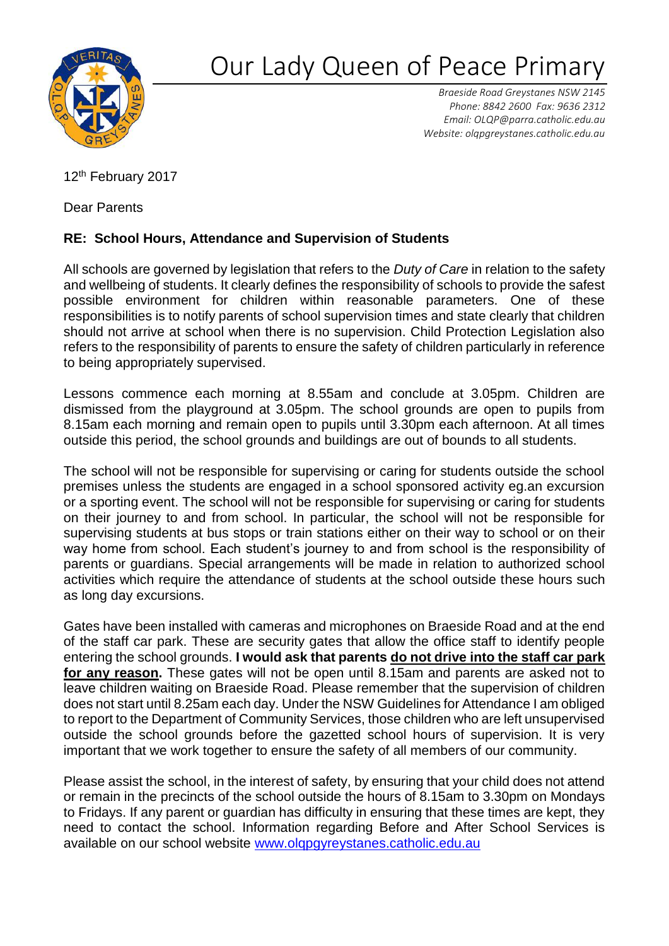

## Our Lady Queen of Peace Primar

*Braeside Road Greystanes NSW 2145 Phone: 8842 2600 Fax: 9636 2312 Email: [OLQP@parra.catholic.edu.au](mailto:OLQP@parra.catholic.edu.au)  Website: olqpgreystanes.catholic.edu.au*

12<sup>th</sup> February 2017

Dear Parents

## **RE: School Hours, Attendance and Supervision of Students**

All schools are governed by legislation that refers to the *Duty of Care* in relation to the safety and wellbeing of students. It clearly defines the responsibility of schools to provide the safest possible environment for children within reasonable parameters. One of these responsibilities is to notify parents of school supervision times and state clearly that children should not arrive at school when there is no supervision. Child Protection Legislation also refers to the responsibility of parents to ensure the safety of children particularly in reference to being appropriately supervised.

Lessons commence each morning at 8.55am and conclude at 3.05pm. Children are dismissed from the playground at 3.05pm. The school grounds are open to pupils from 8.15am each morning and remain open to pupils until 3.30pm each afternoon. At all times outside this period, the school grounds and buildings are out of bounds to all students.

The school will not be responsible for supervising or caring for students outside the school premises unless the students are engaged in a school sponsored activity eg.an excursion or a sporting event. The school will not be responsible for supervising or caring for students on their journey to and from school. In particular, the school will not be responsible for supervising students at bus stops or train stations either on their way to school or on their way home from school. Each student's journey to and from school is the responsibility of parents or guardians. Special arrangements will be made in relation to authorized school activities which require the attendance of students at the school outside these hours such as long day excursions.

Gates have been installed with cameras and microphones on Braeside Road and at the end of the staff car park. These are security gates that allow the office staff to identify people entering the school grounds. **I would ask that parents do not drive into the staff car park for any reason.** These gates will not be open until 8.15am and parents are asked not to leave children waiting on Braeside Road. Please remember that the supervision of children does not start until 8.25am each day. Under the NSW Guidelines for Attendance I am obliged to report to the Department of Community Services, those children who are left unsupervised outside the school grounds before the gazetted school hours of supervision. It is very important that we work together to ensure the safety of all members of our community.

Please assist the school, in the interest of safety, by ensuring that your child does not attend or remain in the precincts of the school outside the hours of 8.15am to 3.30pm on Mondays to Fridays. If any parent or guardian has difficulty in ensuring that these times are kept, they need to contact the school. Information regarding Before and After School Services is available on our school website [www.olqpgyreystanes.catholic.edu.au](http://www.olqpgyreystanes.catholic.edu.au/)